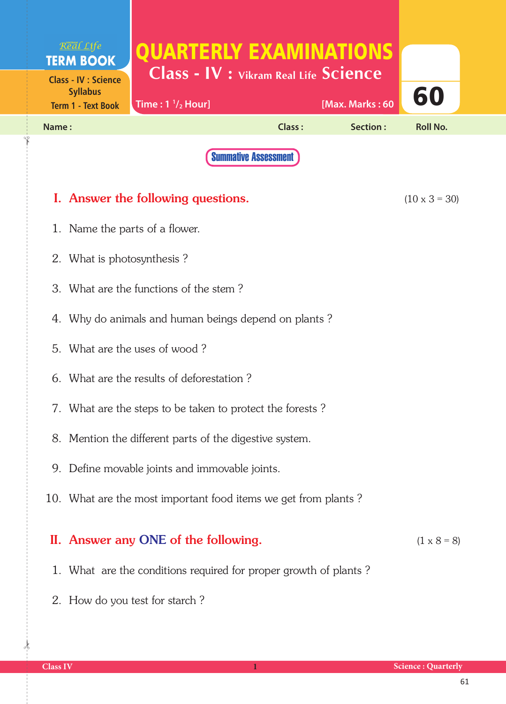| Real Life<br><b>TERM BOOK</b>                                               | QUARTERLY EXAMINATIONS<br><b>Class - IV : Vikram Real Life Science</b> |               |                 |                      |  |
|-----------------------------------------------------------------------------|------------------------------------------------------------------------|---------------|-----------------|----------------------|--|
| <b>Class - IV : Science</b><br><b>Syllabus</b><br><b>Term 1 - Text Book</b> | Time: $1 \frac{1}{2}$ Hour]                                            |               | [Max. Marks: 60 | 60                   |  |
| Name:                                                                       |                                                                        | <b>Class:</b> | Section:        | <b>Roll No.</b>      |  |
|                                                                             | <b>Summative Assessment</b>                                            |               |                 |                      |  |
|                                                                             | I. Answer the following questions.                                     |               |                 | $(10 \times 3 = 30)$ |  |
| 1. Name the parts of a flower.                                              |                                                                        |               |                 |                      |  |
| 2. What is photosynthesis?                                                  |                                                                        |               |                 |                      |  |
|                                                                             | 3. What are the functions of the stem?                                 |               |                 |                      |  |
|                                                                             | 4. Why do animals and human beings depend on plants?                   |               |                 |                      |  |
|                                                                             | 5. What are the uses of wood?                                          |               |                 |                      |  |
|                                                                             | 6. What are the results of deforestation?                              |               |                 |                      |  |
| 7. What are the steps to be taken to protect the forests?                   |                                                                        |               |                 |                      |  |
|                                                                             | 8. Mention the different parts of the digestive system.                |               |                 |                      |  |
|                                                                             | 9. Define movable joints and immovable joints.                         |               |                 |                      |  |
| 10. What are the most important food items we get from plants?              |                                                                        |               |                 |                      |  |

## II. Answer any ONE of the following.  $(1 \times 8 = 8)$

- 1. What are the conditions required for proper growth of plants ?
- 2. How do you test for starch ?

 $\frac{1}{2}$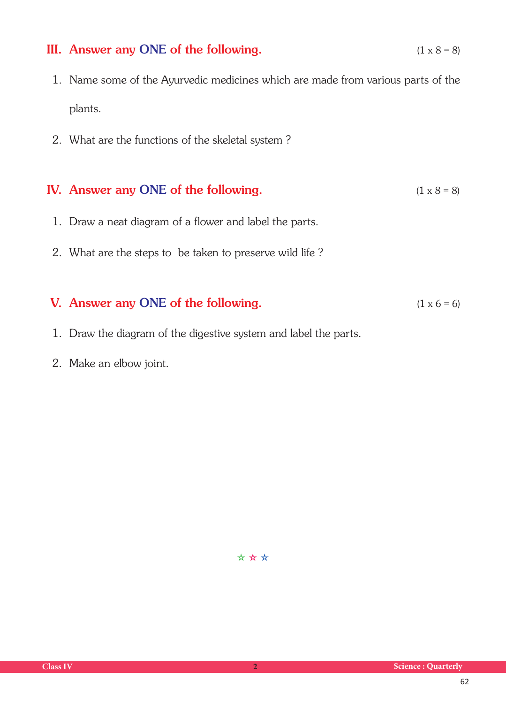### III. Answer any ONE of the following.  $(1 \times 8 = 8)$

- 1. Name some of the Ayurvedic medicines which are made from various parts of the plants.
- 2. What are the functions of the skeletal system ?

#### IV. Answer any ONE of the following.  $(1 \times 8 = 8)$

- 1. Draw a neat diagram of a flower and label the parts.
- 2. What are the steps to be taken to preserve wild life ?

### V. Answer any ONE of the following.  $(1 \times 6 = 6)$

- 1. Draw the diagram of the digestive system and label the parts.
- 2. Make an elbow joint.

✫ ✫ ✫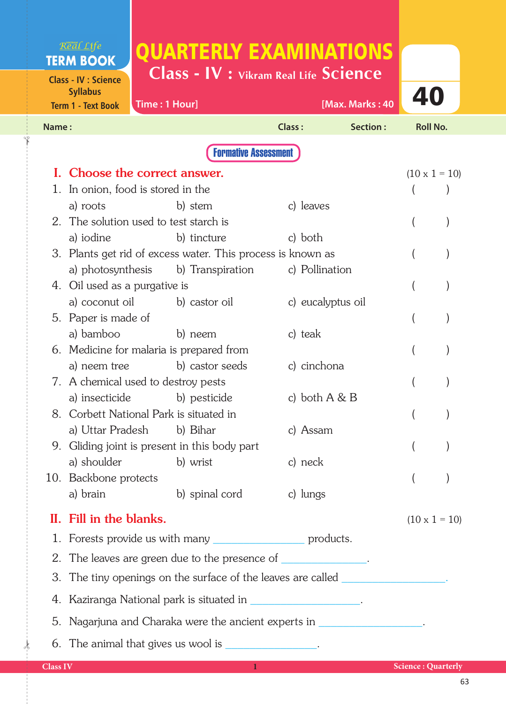# QUARTERLY EXAMINATIONS

**Class - IV : Science Syllabus**

Real Life **TERM BOOK** 

✁

 $\frac{1}{2}$ 

**Class - IV : Vikram Real Life Science**

**Class IV 1 Science : Quarterly**  40 **Time : 1 Hour] [Max. Marks : 40 Name : Class : Section : Roll No. Term 1 - Text Book**  Formative Assessment I. Choose the correct answer.  $(10 \times 1 = 10)$ 1. In onion, food is stored in the ( ) a) roots b) stem c) leaves 2. The solution used to test starch is ( ) a) iodine b) tincture c) both 3. Plants get rid of excess water. This process is known as () a) photosynthesis b) Transpiration c) Pollination 4. Oil used as a purgative is ( ) a) coconut oil b) castor oil c) eucalyptus oil 5. Paper is made of ( ) a) bamboo b) neem c) teak 6. Medicine for malaria is prepared from ( ) a) neem tree b) castor seeds c) cinchona 7. A chemical used to destroy pests ( ) a) insecticide b) pesticide c) both A & B 8. Corbett National Park is situated in ( ) a) Uttar Pradesh b) Bihar c) Assam 9. Gliding joint is present in this body part ( ) a) shoulder b) wrist c) neck 10. Backbone protects ( ) a) brain b) spinal cord c) lungs II. Fill in the blanks.  $(10 \times 1 = 10)$  1. Forests provide us with many \_\_\_\_\_\_\_\_\_\_\_\_\_\_\_ products. 2. The leaves are green due to the presence of 3. The tiny openings on the surface of the leaves are called 4. Kaziranga National park is situated in **Exercise 2.**  5. Nagarjuna and Charaka were the ancient experts in \_\_\_\_\_\_\_\_\_\_\_\_\_\_\_\_\_. 6. The animal that gives us wool is